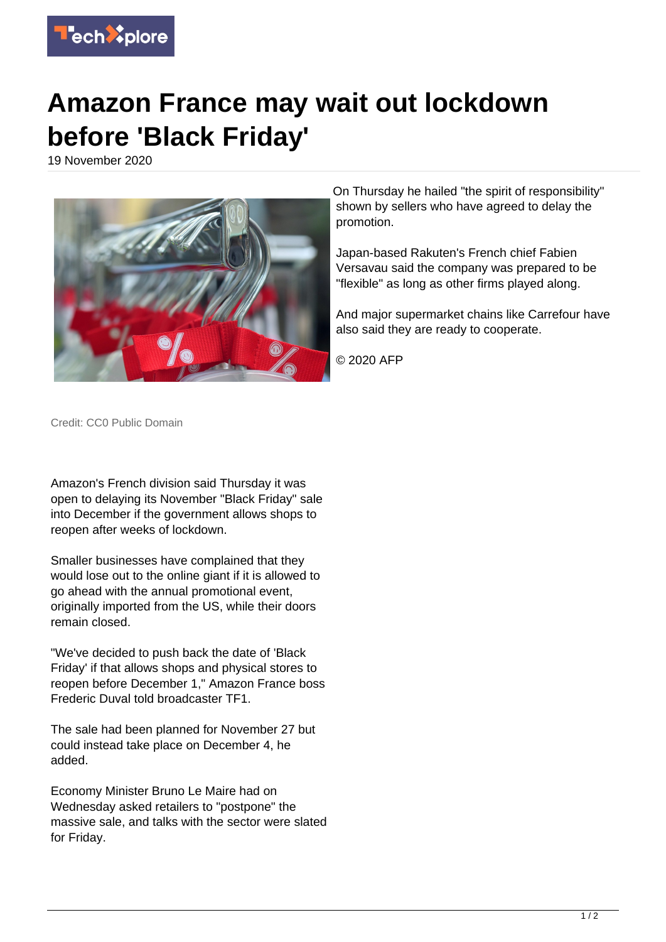

## **Amazon France may wait out lockdown before 'Black Friday'**

19 November 2020



On Thursday he hailed "the spirit of responsibility" shown by sellers who have agreed to delay the promotion.

Japan-based Rakuten's French chief Fabien Versavau said the company was prepared to be "flexible" as long as other firms played along.

And major supermarket chains like Carrefour have also said they are ready to cooperate.

© 2020 AFP

Credit: CC0 Public Domain

Amazon's French division said Thursday it was open to delaying its November "Black Friday" sale into December if the government allows shops to reopen after weeks of lockdown.

Smaller businesses have complained that they would lose out to the online giant if it is allowed to go ahead with the annual promotional event, originally imported from the US, while their doors remain closed.

"We've decided to push back the date of 'Black Friday' if that allows shops and physical stores to reopen before December 1," Amazon France boss Frederic Duval told broadcaster TF1.

The sale had been planned for November 27 but could instead take place on December 4, he added.

Economy Minister Bruno Le Maire had on Wednesday asked retailers to "postpone" the massive sale, and talks with the sector were slated for Friday.